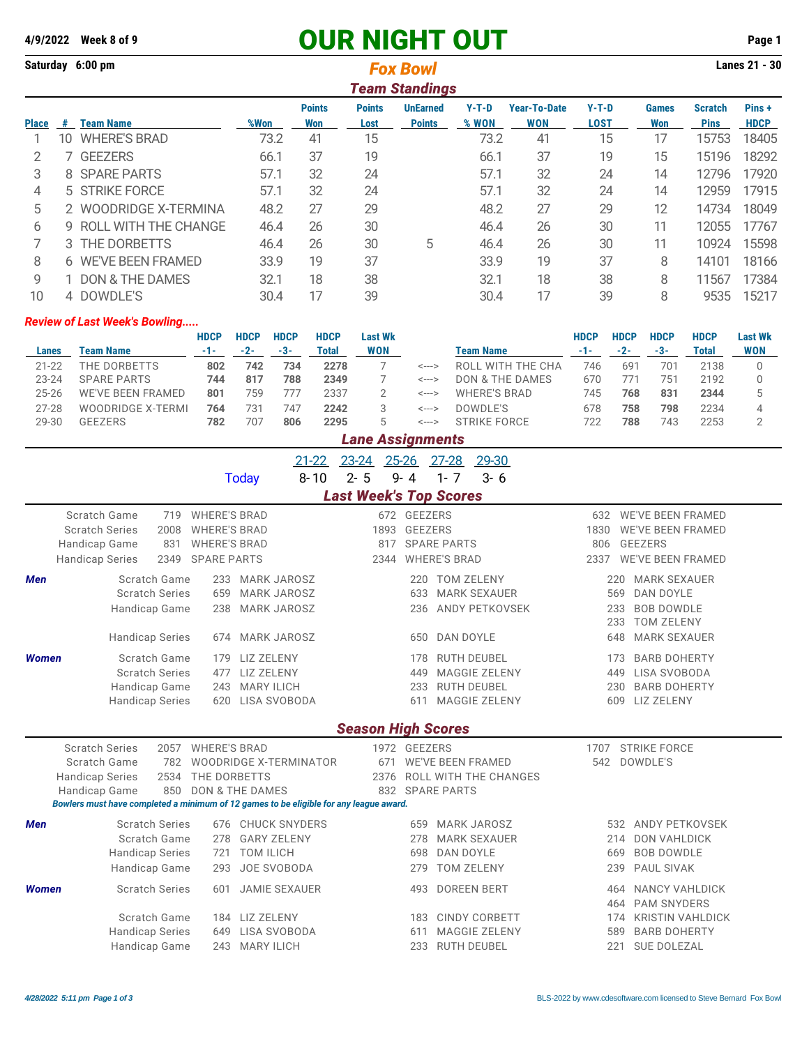## **4/9/2022** Week 8 of 9 **OUR NIGHT OUT** Page 1

|              |                       | Saturday 6:00 pm<br><b>Fox Bowl</b> |      |                      |                       |                                  |                  |                            |                 |                     |                               |                       |  |  |
|--------------|-----------------------|-------------------------------------|------|----------------------|-----------------------|----------------------------------|------------------|----------------------------|-----------------|---------------------|-------------------------------|-----------------------|--|--|
|              | <b>Team Standings</b> |                                     |      |                      |                       |                                  |                  |                            |                 |                     |                               |                       |  |  |
| <b>Place</b> | #                     | <b>Team Name</b>                    | %Won | <b>Points</b><br>Won | <b>Points</b><br>Lost | <b>UnEarned</b><br><b>Points</b> | $Y-T-D$<br>% WON | <b>Year-To-Date</b><br>WON | $Y-T-D$<br>LOST | <b>Games</b><br>Won | <b>Scratch</b><br><b>Pins</b> | Pins +<br><b>HDCP</b> |  |  |
|              | 10                    | <b>WHERE'S BRAD</b>                 | 73.2 | 41                   | 15                    |                                  | 73.2             | 41                         | 15              | 17                  | 15753                         | 18405                 |  |  |
|              |                       | <b>GEEZERS</b>                      | 66.1 | 37                   | 19                    |                                  | 66.1             | 37                         | 19              | 15                  | 15196                         | 18292                 |  |  |
| 3            | 8                     | <b>SPARE PARTS</b>                  | 57.1 | 32                   | 24                    |                                  | 57.1             | 32                         | 24              | 14                  | 12796                         | 17920                 |  |  |
| 4            |                       | 5 STRIKE FORCE                      | 57.1 | 32                   | 24                    |                                  | 57.1             | 32                         | 24              | 14                  | 12959                         | 17915                 |  |  |
| 5            | 2                     | WOODRIDGE X-TERMINA                 | 48.2 | 27                   | 29                    |                                  | 48.2             | 27                         | 29              | 12                  | 14734                         | 18049                 |  |  |
| 6            | 9                     | ROLL WITH THE CHANGE                | 46.4 | 26                   | 30                    |                                  | 46.4             | 26                         | 30              | 11                  | 12055                         | 17767                 |  |  |
|              |                       | 3 THE DORBETTS                      | 46.4 | 26                   | 30                    | 5                                | 46.4             | 26                         | 30              | 11                  | 10924                         | 15598                 |  |  |
| 8            | 6                     | <b>WE'VE BEEN FRAMED</b>            | 33.9 | 19                   | 37                    |                                  | 33.9             | 19                         | 37              | 8                   | 14101                         | 18166                 |  |  |
| 9            |                       | DON & THE DAMES                     | 32.1 | 18                   | 38                    |                                  | 32.1             | 18                         | 38              | 8                   | 11567                         | 17384                 |  |  |
| 10           |                       | 4 DOWDLE'S                          | 30.4 | 17                   | 39                    |                                  | 30.4             | 17                         | 39              | 8                   | 9535                          | 15217                 |  |  |

## *Review of Last Week's Bowling.....*

|           |                          | <b>HDCP</b> | <b>HDCP</b> | <b>HDCP</b> | <b>HDCP</b> | <b>Last Wk</b> |       |                            | HDCP | <b>HDCP</b> | <b>HDCP</b>     | <b>HDCP</b> | <b>Last Wk</b> |
|-----------|--------------------------|-------------|-------------|-------------|-------------|----------------|-------|----------------------------|------|-------------|-----------------|-------------|----------------|
| Lanes     | <b>Team Name</b>         | -1-         | $-2-$       | -3-         | Total       | <b>WON</b>     |       | <b>Team Name</b>           |      | $-2-$       | -3-             | Total       | <b>WON</b>     |
| $21 - 22$ | THE DORBETTS             | 802         | 742         | 734         | 2278        |                | <---> | ROLL WITH THE CHA          | 746  | 691         | 70 <sup>2</sup> | 2138        |                |
| $23 - 24$ | <b>SPARE PARTS</b>       | 744         | 817         | 788         | 2349        |                | <---> | <b>DON &amp; THE DAMES</b> | 670  | 771         | 751             | 2192        |                |
| $25 - 26$ | <b>WE'VE BEEN FRAMED</b> | 801         | 759         | 777         | 2337        |                | <---> | <b>WHERE'S BRAD</b>        | 745  | 768         | 831             | 2344        |                |
| $27 - 28$ | WOODRIDGE X-TERMI        | 764         | 731         | 747         | 2242        |                | <---> | DOWDLE'S                   | 678  | 758         | 798             | 2234        |                |
| 29-30     | <b>GEEZERS</b>           | 782         | 70.         | 806         | 2295        |                | <---> | <b>STRIKE FORCE</b>        | 722  | 788         | 743             | 2253        |                |
|           | Lane Assignments         |             |             |             |             |                |       |                            |      |             |                 |             |                |

|              |                                                                                                                | $21 - 22$<br>$8 - 10$<br><b>Today</b>                                                                                                                                                        | 29-30<br>$23 - 24$<br>$25 - 26$<br>$27 - 28$<br>$2 - 5$<br>$1 - 7$<br>$9 - 4$<br>$3 - 6$                             |                                                                                                                                                        |
|--------------|----------------------------------------------------------------------------------------------------------------|----------------------------------------------------------------------------------------------------------------------------------------------------------------------------------------------|----------------------------------------------------------------------------------------------------------------------|--------------------------------------------------------------------------------------------------------------------------------------------------------|
|              |                                                                                                                |                                                                                                                                                                                              | <b>Last Week's Top Scores</b>                                                                                        |                                                                                                                                                        |
|              | Scratch Game<br>719<br><b>Scratch Series</b><br>2008<br>Handicap Game<br>831<br><b>Handicap Series</b><br>2349 | <b>WHERE'S BRAD</b><br><b>WHERE'S BRAD</b><br><b>WHERE'S BRAD</b><br><b>SPARE PARTS</b>                                                                                                      | 672 GEEZERS<br><b>GEEZERS</b><br>1893<br><b>SPARE PARTS</b><br>817<br><b>WHERE'S BRAD</b><br>2344                    | 632 WE'VE BEEN FRAMED<br><b>WE'VE BEEN FRAMED</b><br>1830<br><b>GEEZERS</b><br>806<br><b>WE'VE BEEN FRAMED</b><br>2337                                 |
| <b>Men</b>   | <b>Scratch Game</b><br><b>Scratch Series</b><br>Handicap Game<br><b>Handicap Series</b>                        | <b>MARK JAROSZ</b><br>233<br><b>MARK JAROSZ</b><br>659<br>238<br><b>MARK JAROSZ</b><br><b>MARK JAROSZ</b><br>674                                                                             | <b>TOM ZELENY</b><br>220<br><b>MARK SEXAUER</b><br>633<br>ANDY PETKOVSEK<br>236<br>DAN DOYLE<br>650                  | <b>MARK SEXAUER</b><br>220<br>569<br>DAN DOYLE<br><b>BOB DOWDLE</b><br>233<br><b>TOM ZELENY</b><br>233<br>648<br><b>MARK SEXAUER</b>                   |
| <b>Women</b> | Scratch Game<br><b>Scratch Series</b><br>Handicap Game<br><b>Handicap Series</b>                               | LIZ ZELENY<br>179<br><b>LIZ ZELENY</b><br>477<br>243 MARY ILICH<br>LISA SVOBODA<br>620                                                                                                       | <b>RUTH DEUBEL</b><br>178<br><b>MAGGIE ZELENY</b><br>449<br><b>RUTH DEUBEL</b><br>233<br><b>MAGGIE ZELENY</b><br>611 | <b>BARB DOHERTY</b><br>173<br>LISA SVOBODA<br>449<br><b>BARB DOHERTY</b><br>230<br>609 LIZ ZELENY                                                      |
|              |                                                                                                                |                                                                                                                                                                                              | <b>Season High Scores</b>                                                                                            |                                                                                                                                                        |
|              | <b>Scratch Series</b><br>2057<br>Scratch Game<br>782<br><b>Handicap Series</b><br>2534<br>850<br>Handicap Game | <b>WHERE'S BRAD</b><br><b>WOODRIDGE X-TERMINATOR</b><br>THE DORBETTS<br><b>DON &amp; THE DAMES</b><br>Bowlers must have completed a minimum of 12 games to be eligible for any league award. | 1972 GEEZERS<br><b>WE'VE BEEN FRAMED</b><br>671<br><b>ROLL WITH THE CHANGES</b><br>2376<br>832 SPARE PARTS           | <b>STRIKE FORCE</b><br>1707<br>542<br>DOWDLE'S                                                                                                         |
| <b>Men</b>   | <b>Scratch Series</b><br>Scratch Game<br><b>Handicap Series</b><br>Handicap Game                               | <b>CHUCK SNYDERS</b><br>676<br><b>GARY ZELENY</b><br>278<br><b>TOM ILICH</b><br>721<br>JOE SVOBODA<br>293                                                                                    | <b>MARK JAROSZ</b><br>659<br><b>MARK SEXAUER</b><br>278<br><b>DAN DOYLE</b><br>698<br><b>TOM ZELENY</b><br>279       | ANDY PETKOVSEK<br>532<br><b>DON VAHLDICK</b><br>214<br><b>BOB DOWDLE</b><br>669<br>PAUL SIVAK<br>239                                                   |
| <b>Women</b> | <b>Scratch Series</b><br>Scratch Game<br><b>Handicap Series</b><br>Handicap Game                               | <b>JAMIE SEXAUER</b><br>601<br>LIZ ZELENY<br>184<br>LISA SVOBODA<br>649<br>243<br><b>MARY ILICH</b>                                                                                          | <b>DOREEN BERT</b><br>493<br><b>CINDY CORBETT</b><br>183<br><b>MAGGIE ZELENY</b><br>611<br><b>RUTH DEUBEL</b><br>233 | <b>NANCY VAHLDICK</b><br>464<br><b>PAM SNYDERS</b><br>464<br><b>KRISTIN VAHLDICK</b><br>174<br><b>BARB DOHERTY</b><br>589<br>221<br><b>SUE DOLEZAL</b> |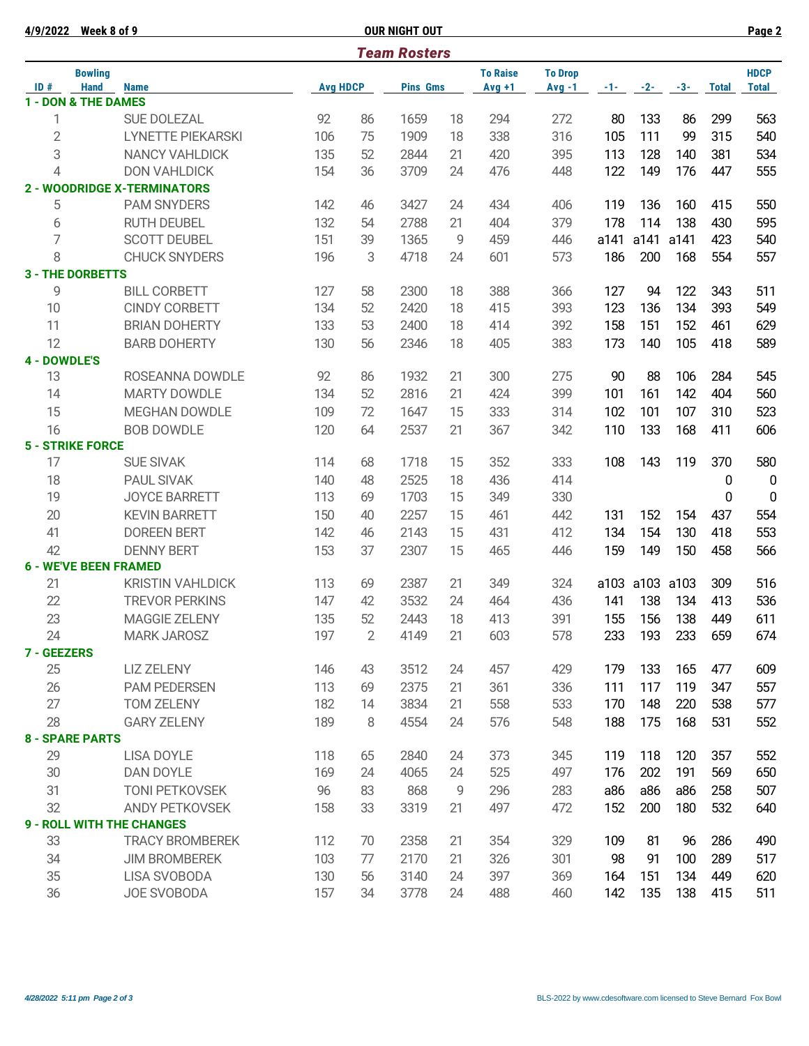|                     | 4/9/2022 Week 8 of 9               |                                    |                 |                | <b>OUR NIGHT OUT</b> |    |                 |                |       |                |       |              | Page 2         |
|---------------------|------------------------------------|------------------------------------|-----------------|----------------|----------------------|----|-----------------|----------------|-------|----------------|-------|--------------|----------------|
|                     |                                    |                                    |                 |                | <b>Team Rosters</b>  |    |                 |                |       |                |       |              |                |
|                     | <b>Bowling</b>                     |                                    |                 |                |                      |    | <b>To Raise</b> | <b>To Drop</b> |       |                |       |              | <b>HDCP</b>    |
| ID#                 | <b>Hand</b><br>1 - DON & THE DAMES | <b>Name</b>                        | <b>Avg HDCP</b> |                | <b>Pins Gms</b>      |    | $Avg +1$        | $Avg -1$       | $-1-$ | $-2-$          | $-3-$ | <b>Total</b> | <b>Total</b>   |
| 1                   |                                    | <b>SUE DOLEZAL</b>                 | 92              | 86             | 1659                 | 18 | 294             | 272            | 80    | 133            | 86    | 299          | 563            |
|                     |                                    |                                    |                 |                |                      |    |                 |                |       |                |       |              |                |
| $\overline{2}$      |                                    | <b>LYNETTE PIEKARSKI</b>           | 106             | 75             | 1909                 | 18 | 338             | 316            | 105   | 111            | 99    | 315          | 540            |
| 3                   |                                    | <b>NANCY VAHLDICK</b>              | 135             | 52             | 2844                 | 21 | 420             | 395            | 113   | 128            | 140   | 381          | 534            |
| 4                   |                                    | <b>DON VAHLDICK</b>                | 154             | 36             | 3709                 | 24 | 476             | 448            | 122   | 149            | 176   | 447          | 555            |
|                     |                                    | <b>2 - WOODRIDGE X-TERMINATORS</b> |                 |                |                      |    |                 |                |       |                |       |              |                |
| 5                   |                                    | <b>PAM SNYDERS</b>                 | 142             | 46             | 3427                 | 24 | 434             | 406            | 119   | 136            | 160   | 415          | 550            |
| 6                   |                                    | <b>RUTH DEUBEL</b>                 | 132             | 54             | 2788                 | 21 | 404             | 379            | 178   | 114            | 138   | 430          | 595            |
| 7                   |                                    | <b>SCOTT DEUBEL</b>                | 151             | 39             | 1365                 | 9  | 459             | 446            | a141  | a141           | a141  | 423          | 540            |
| 8                   |                                    | <b>CHUCK SNYDERS</b>               | 196             | 3              | 4718                 | 24 | 601             | 573            | 186   | 200            | 168   | 554          | 557            |
|                     | <b>3 - THE DORBETTS</b>            |                                    |                 |                |                      |    |                 |                |       |                |       |              |                |
| 9                   |                                    | <b>BILL CORBETT</b>                | 127             | 58             | 2300                 | 18 | 388             | 366            | 127   | 94             | 122   | 343          | 511            |
| 10                  |                                    | <b>CINDY CORBETT</b>               | 134             | 52             | 2420                 | 18 | 415             | 393            | 123   | 136            | 134   | 393          | 549            |
| 11                  |                                    | <b>BRIAN DOHERTY</b>               | 133             | 53             | 2400                 | 18 | 414             | 392            | 158   | 151            | 152   | 461          | 629            |
| 12                  |                                    | <b>BARB DOHERTY</b>                | 130             | 56             | 2346                 | 18 | 405             | 383            | 173   | 140            | 105   | 418          | 589            |
| <b>4 - DOWDLE'S</b> |                                    |                                    |                 |                |                      |    |                 |                |       |                |       |              |                |
| 13                  |                                    | ROSEANNA DOWDLE                    | 92              | 86             | 1932                 | 21 | 300             | 275            | 90    | 88             | 106   | 284          | 545            |
| 14                  |                                    | <b>MARTY DOWDLE</b>                | 134             | 52             | 2816                 | 21 | 424             | 399            | 101   | 161            | 142   | 404          | 560            |
| 15                  |                                    | <b>MEGHAN DOWDLE</b>               | 109             | 72             | 1647                 | 15 | 333             | 314            | 102   | 101            | 107   | 310          | 523            |
| 16                  |                                    | <b>BOB DOWDLE</b>                  | 120             | 64             | 2537                 | 21 | 367             | 342            | 110   | 133            | 168   | 411          | 606            |
|                     | <b>5 - STRIKE FORCE</b>            |                                    |                 |                |                      |    |                 |                |       |                |       |              |                |
| 17                  |                                    | <b>SUE SIVAK</b>                   | 114             | 68             | 1718                 | 15 | 352             | 333            | 108   | 143            | 119   | 370          | 580            |
| 18                  |                                    | <b>PAUL SIVAK</b>                  | 140             | 48             | 2525                 | 18 | 436             | 414            |       |                |       | 0            | $\overline{0}$ |
| 19                  |                                    | <b>JOYCE BARRETT</b>               | 113             | 69             | 1703                 | 15 | 349             | 330            |       |                |       | 0            | $\mathbf 0$    |
| 20                  |                                    | <b>KEVIN BARRETT</b>               | 150             | 40             | 2257                 | 15 | 461             | 442            | 131   | 152            | 154   | 437          | 554            |
| 41                  |                                    | <b>DOREEN BERT</b>                 | 142             | 46             | 2143                 | 15 | 431             | 412            | 134   | 154            | 130   | 418          | 553            |
| 42                  |                                    | <b>DENNY BERT</b>                  | 153             | 37             | 2307                 | 15 | 465             | 446            | 159   | 149            | 150   | 458          | 566            |
|                     | <b>6 - WE'VE BEEN FRAMED</b>       |                                    |                 |                |                      |    |                 |                |       |                |       |              |                |
| 21                  |                                    | <b>KRISTIN VAHLDICK</b>            | 113             | 69             | 2387                 | 21 | 349             | 324            |       | a103 a103 a103 |       | 309          | 516            |
| 22                  |                                    | <b>TREVOR PERKINS</b>              | 147             | 42             | 3532                 | 24 | 464             | 436            | 141   | 138            | 134   | 413          | 536            |
| 23                  |                                    | MAGGIE ZELENY                      | 135             | 52             | 2443                 | 18 | 413             | 391            | 155   | 156            | 138   | 449          | 611            |
| 24                  |                                    | <b>MARK JAROSZ</b>                 | 197             | $\overline{2}$ | 4149                 | 21 | 603             | 578            | 233   | 193            | 233   | 659          | 674            |
| 7 - GEEZERS         |                                    |                                    |                 |                |                      |    |                 |                |       |                |       |              |                |
| 25                  |                                    | <b>LIZ ZELENY</b>                  | 146             | 43             | 3512                 | 24 | 457             | 429            | 179   | 133            | 165   | 477          | 609            |
| 26                  |                                    | <b>PAM PEDERSEN</b>                | 113             | 69             | 2375                 | 21 | 361             | 336            | 111   | 117            | 119   | 347          | 557            |
| 27                  |                                    | <b>TOM ZELENY</b>                  | 182             | 14             | 3834                 | 21 | 558             | 533            | 170   | 148            | 220   | 538          | 577            |
| 28                  |                                    | <b>GARY ZELENY</b>                 | 189             | 8              | 4554                 | 24 | 576             | 548            | 188   | 175            | 168   | 531          | 552            |
|                     | <b>8 - SPARE PARTS</b>             |                                    |                 |                |                      |    |                 |                |       |                |       |              |                |
| 29                  |                                    | <b>LISA DOYLE</b>                  | 118             | 65             | 2840                 | 24 | 373             | 345            | 119   | 118            | 120   | 357          | 552            |
| 30                  |                                    | DAN DOYLE                          | 169             | 24             | 4065                 | 24 | 525             | 497            | 176   | 202            | 191   | 569          | 650            |
| 31                  |                                    | <b>TONI PETKOVSEK</b>              | 96              | 83             | 868                  | 9  | 296             | 283            | a86   | a86            | a86   | 258          | 507            |
| 32                  |                                    | <b>ANDY PETKOVSEK</b>              | 158             | 33             | 3319                 | 21 | 497             | 472            | 152   | 200            | 180   | 532          | 640            |
|                     |                                    | <b>9 - ROLL WITH THE CHANGES</b>   |                 |                |                      |    |                 |                |       |                |       |              |                |
| 33                  |                                    | <b>TRACY BROMBEREK</b>             | 112             | 70             | 2358                 | 21 | 354             | 329            | 109   | 81             | 96    | 286          | 490            |
| 34                  |                                    | <b>JIM BROMBEREK</b>               | 103             | 77             | 2170                 | 21 | 326             | 301            | 98    | 91             | 100   | 289          | 517            |
| 35                  |                                    | <b>LISA SVOBODA</b>                | 130             | 56             | 3140                 | 24 | 397             | 369            | 164   | 151            | 134   | 449          | 620            |
| 36                  |                                    | JOE SVOBODA                        | 157             | 34             | 3778                 | 24 | 488             | 460            | 142   | 135            | 138   | 415          | 511            |
|                     |                                    |                                    |                 |                |                      |    |                 |                |       |                |       |              |                |